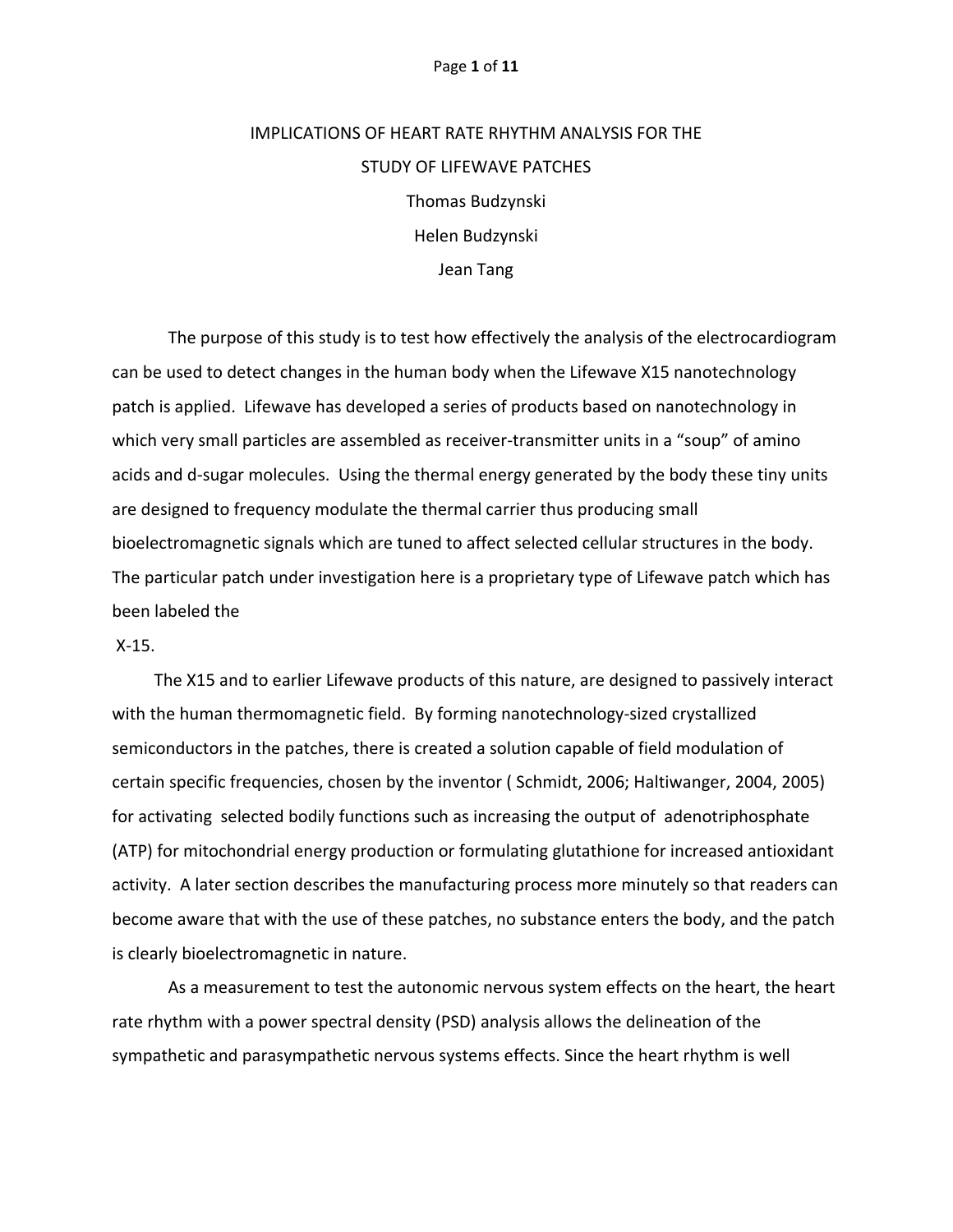#### Page **1** of **11**

# IMPLICATIONS OF HEART RATE RHYTHM ANALYSIS FOR THE STUDY OF LIFEWAVE PATCHES Thomas Budzynski Helen Budzynski Jean Tang

The purpose of this study is to test how effectively the analysis of the electrocardiogram can be used to detect changes in the human body when the Lifewave X15 nanotechnology patch is applied. Lifewave has developed a series of products based on nanotechnology in which very small particles are assembled as receiver-transmitter units in a "soup" of amino acids and d-sugar molecules. Using the thermal energy generated by the body these tiny units are designed to frequency modulate the thermal carrier thus producing small bioelectromagnetic signals which are tuned to affect selected cellular structures in the body. The particular patch under investigation here is a proprietary type of Lifewave patch which has been labeled the

## X-15.

 The X15 and to earlier Lifewave products of this nature, are designed to passively interact with the human thermomagnetic field. By forming nanotechnology-sized crystallized semiconductors in the patches, there is created a solution capable of field modulation of certain specific frequencies, chosen by the inventor ( Schmidt, 2006; Haltiwanger, 2004, 2005) for activating selected bodily functions such as increasing the output of adenotriphosphate (ATP) for mitochondrial energy production or formulating glutathione for increased antioxidant activity. A later section describes the manufacturing process more minutely so that readers can become aware that with the use of these patches, no substance enters the body, and the patch is clearly bioelectromagnetic in nature.

As a measurement to test the autonomic nervous system effects on the heart, the heart rate rhythm with a power spectral density (PSD) analysis allows the delineation of the sympathetic and parasympathetic nervous systems effects. Since the heart rhythm is well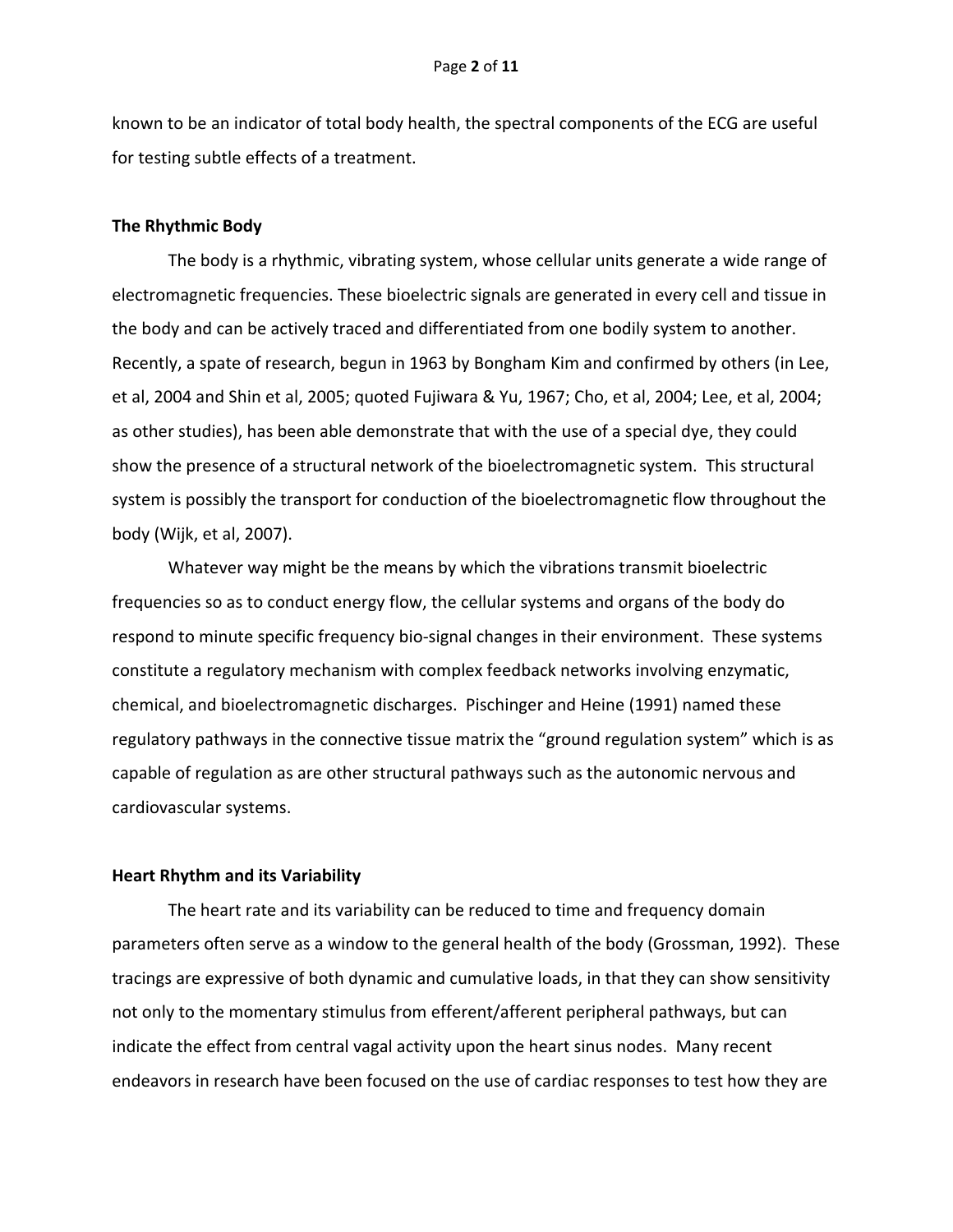known to be an indicator of total body health, the spectral components of the ECG are useful for testing subtle effects of a treatment.

## **The Rhythmic Body**

The body is a rhythmic, vibrating system, whose cellular units generate a wide range of electromagnetic frequencies. These bioelectric signals are generated in every cell and tissue in the body and can be actively traced and differentiated from one bodily system to another. Recently, a spate of research, begun in 1963 by Bongham Kim and confirmed by others (in Lee, et al, 2004 and Shin et al, 2005; quoted Fujiwara & Yu, 1967; Cho, et al, 2004; Lee, et al, 2004; as other studies), has been able demonstrate that with the use of a special dye, they could show the presence of a structural network of the bioelectromagnetic system. This structural system is possibly the transport for conduction of the bioelectromagnetic flow throughout the body (Wijk, et al, 2007).

Whatever way might be the means by which the vibrations transmit bioelectric frequencies so as to conduct energy flow, the cellular systems and organs of the body do respond to minute specific frequency bio-signal changes in their environment. These systems constitute a regulatory mechanism with complex feedback networks involving enzymatic, chemical, and bioelectromagnetic discharges. Pischinger and Heine (1991) named these regulatory pathways in the connective tissue matrix the "ground regulation system" which is as capable of regulation as are other structural pathways such as the autonomic nervous and cardiovascular systems.

## **Heart Rhythm and its Variability**

The heart rate and its variability can be reduced to time and frequency domain parameters often serve as a window to the general health of the body (Grossman, 1992). These tracings are expressive of both dynamic and cumulative loads, in that they can show sensitivity not only to the momentary stimulus from efferent/afferent peripheral pathways, but can indicate the effect from central vagal activity upon the heart sinus nodes. Many recent endeavors in research have been focused on the use of cardiac responses to test how they are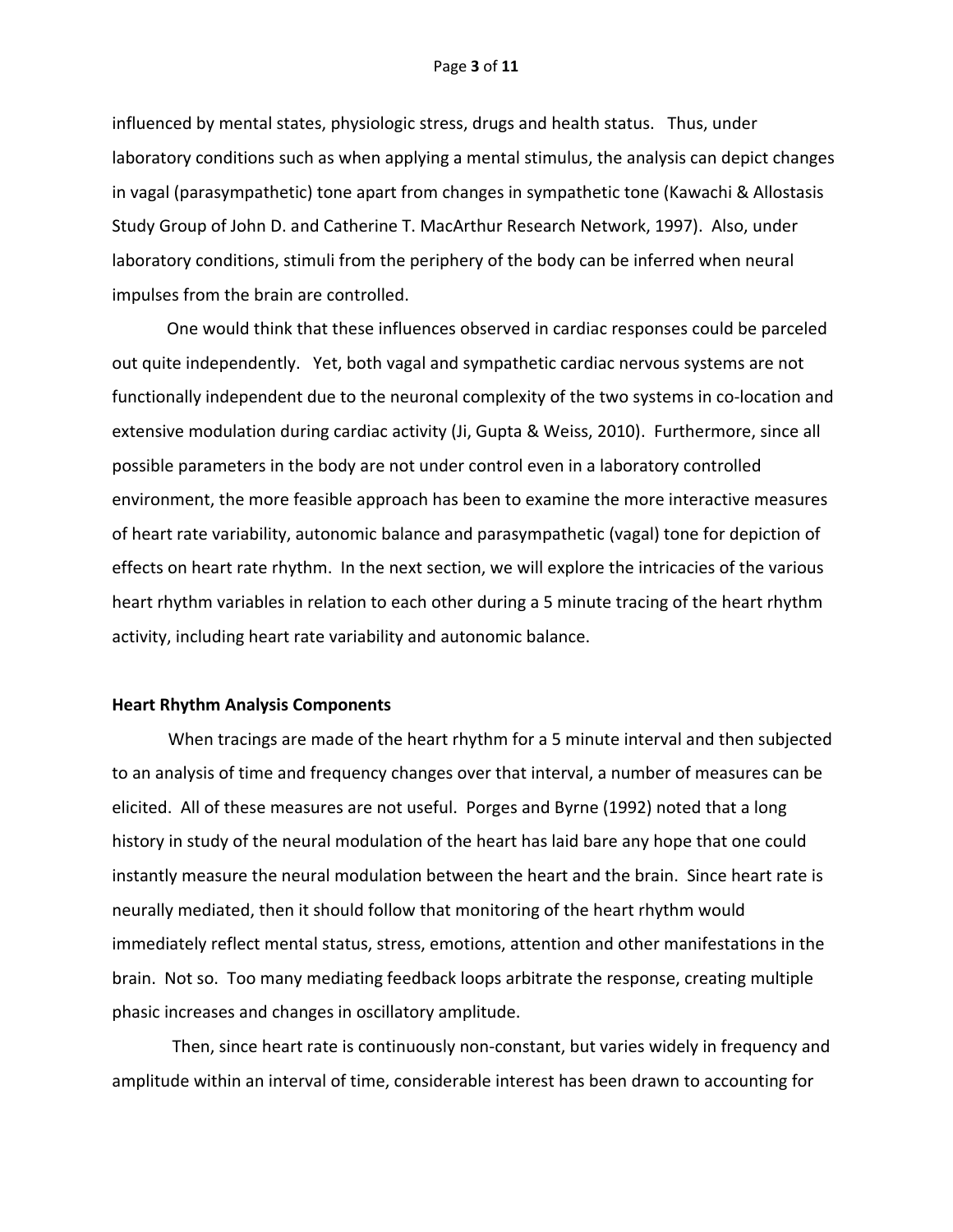#### Page **3** of **11**

influenced by mental states, physiologic stress, drugs and health status. Thus, under laboratory conditions such as when applying a mental stimulus, the analysis can depict changes in vagal (parasympathetic) tone apart from changes in sympathetic tone (Kawachi & Allostasis Study Group of John D. and Catherine T. MacArthur Research Network, 1997). Also, under laboratory conditions, stimuli from the periphery of the body can be inferred when neural impulses from the brain are controlled.

 One would think that these influences observed in cardiac responses could be parceled out quite independently. Yet, both vagal and sympathetic cardiac nervous systems are not functionally independent due to the neuronal complexity of the two systems in co-location and extensive modulation during cardiac activity (Ji, Gupta & Weiss, 2010). Furthermore, since all possible parameters in the body are not under control even in a laboratory controlled environment, the more feasible approach has been to examine the more interactive measures of heart rate variability, autonomic balance and parasympathetic (vagal) tone for depiction of effects on heart rate rhythm. In the next section, we will explore the intricacies of the various heart rhythm variables in relation to each other during a 5 minute tracing of the heart rhythm activity, including heart rate variability and autonomic balance.

## **Heart Rhythm Analysis Components**

When tracings are made of the heart rhythm for a 5 minute interval and then subjected to an analysis of time and frequency changes over that interval, a number of measures can be elicited. All of these measures are not useful. Porges and Byrne (1992) noted that a long history in study of the neural modulation of the heart has laid bare any hope that one could instantly measure the neural modulation between the heart and the brain. Since heart rate is neurally mediated, then it should follow that monitoring of the heart rhythm would immediately reflect mental status, stress, emotions, attention and other manifestations in the brain. Not so. Too many mediating feedback loops arbitrate the response, creating multiple phasic increases and changes in oscillatory amplitude.

Then, since heart rate is continuously non-constant, but varies widely in frequency and amplitude within an interval of time, considerable interest has been drawn to accounting for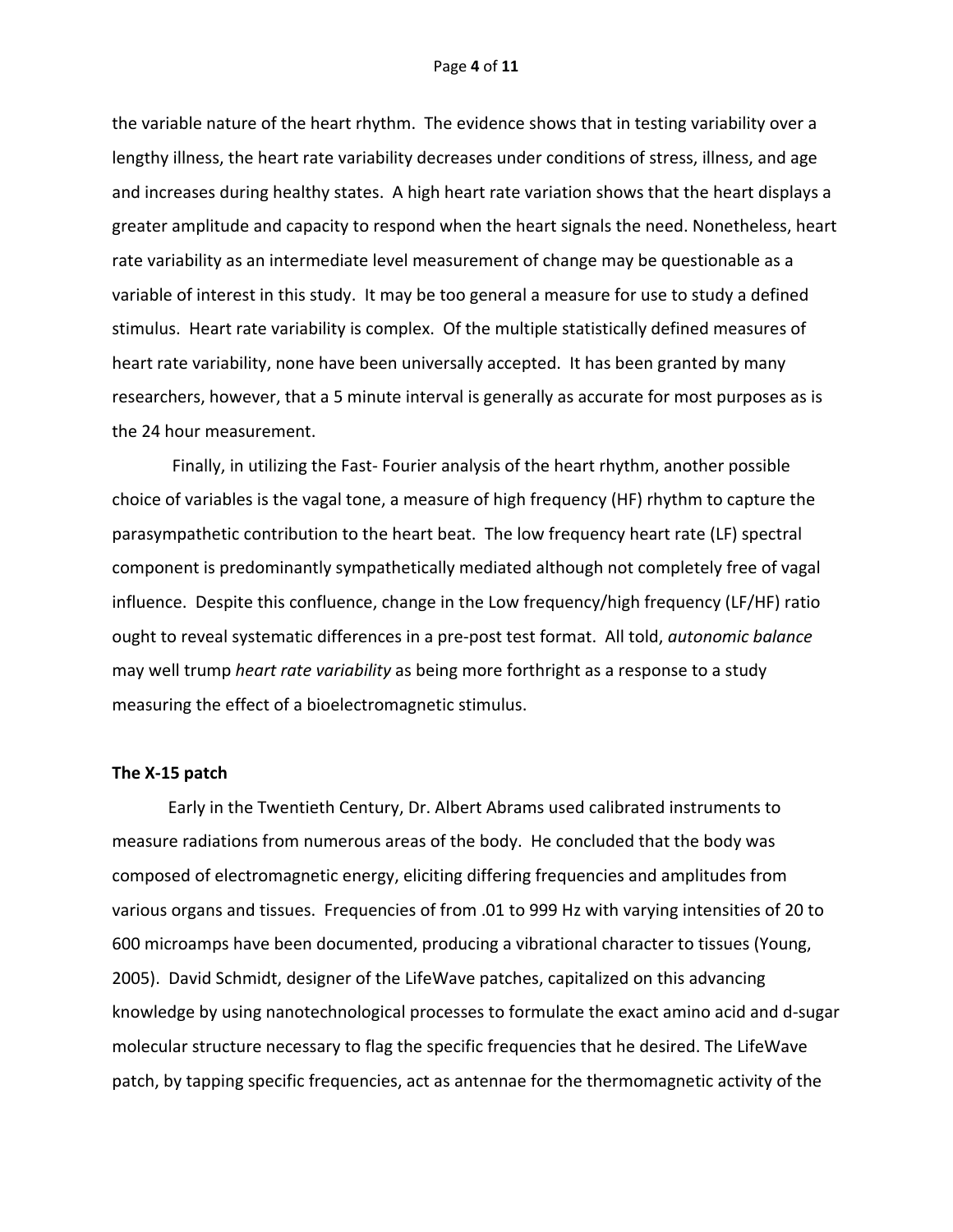#### Page **4** of **11**

the variable nature of the heart rhythm. The evidence shows that in testing variability over a lengthy illness, the heart rate variability decreases under conditions of stress, illness, and age and increases during healthy states. A high heart rate variation shows that the heart displays a greater amplitude and capacity to respond when the heart signals the need. Nonetheless, heart rate variability as an intermediate level measurement of change may be questionable as a variable of interest in this study. It may be too general a measure for use to study a defined stimulus. Heart rate variability is complex. Of the multiple statistically defined measures of heart rate variability, none have been universally accepted. It has been granted by many researchers, however, that a 5 minute interval is generally as accurate for most purposes as is the 24 hour measurement.

Finally, in utilizing the Fast- Fourier analysis of the heart rhythm, another possible choice of variables is the vagal tone, a measure of high frequency (HF) rhythm to capture the parasympathetic contribution to the heart beat. The low frequency heart rate (LF) spectral component is predominantly sympathetically mediated although not completely free of vagal influence. Despite this confluence, change in the Low frequency/high frequency (LF/HF) ratio ought to reveal systematic differences in a pre-post test format. All told, *autonomic balance* may well trump *heart rate variability* as being more forthright as a response to a study measuring the effect of a bioelectromagnetic stimulus.

#### **The X-15 patch**

Early in the Twentieth Century, Dr. Albert Abrams used calibrated instruments to measure radiations from numerous areas of the body. He concluded that the body was composed of electromagnetic energy, eliciting differing frequencies and amplitudes from various organs and tissues. Frequencies of from .01 to 999 Hz with varying intensities of 20 to 600 microamps have been documented, producing a vibrational character to tissues (Young, 2005). David Schmidt, designer of the LifeWave patches, capitalized on this advancing knowledge by using nanotechnological processes to formulate the exact amino acid and d-sugar molecular structure necessary to flag the specific frequencies that he desired. The LifeWave patch, by tapping specific frequencies, act as antennae for the thermomagnetic activity of the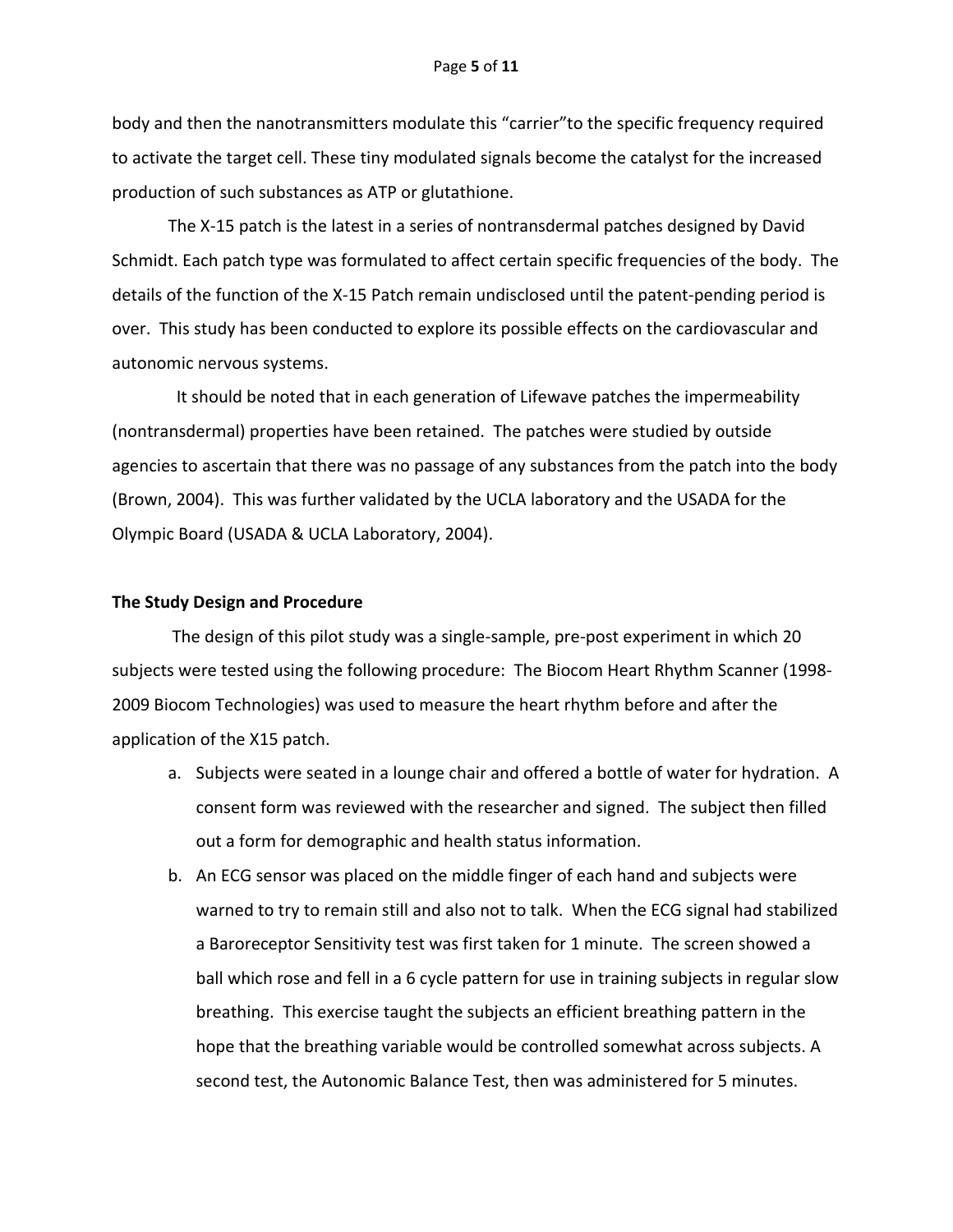body and then the nanotransmitters modulate this "carrier"to the specific frequency required to activate the target cell. These tiny modulated signals become the catalyst for the increased production of such substances as ATP or glutathione.

The X-15 patch is the latest in a series of nontransdermal patches designed by David Schmidt. Each patch type was formulated to affect certain specific frequencies of the body. The details of the function of the X-15 Patch remain undisclosed until the patent-pending period is over. This study has been conducted to explore its possible effects on the cardiovascular and autonomic nervous systems.

 It should be noted that in each generation of Lifewave patches the impermeability (nontransdermal) properties have been retained. The patches were studied by outside agencies to ascertain that there was no passage of any substances from the patch into the body (Brown, 2004). This was further validated by the UCLA laboratory and the USADA for the Olympic Board (USADA & UCLA Laboratory, 2004).

#### **The Study Design and Procedure**

The design of this pilot study was a single-sample, pre-post experiment in which 20 subjects were tested using the following procedure: The Biocom Heart Rhythm Scanner (1998- 2009 Biocom Technologies) was used to measure the heart rhythm before and after the application of the X15 patch.

- a. Subjects were seated in a lounge chair and offered a bottle of water for hydration. A consent form was reviewed with the researcher and signed. The subject then filled out a form for demographic and health status information.
- b. An ECG sensor was placed on the middle finger of each hand and subjects were warned to try to remain still and also not to talk. When the ECG signal had stabilized a Baroreceptor Sensitivity test was first taken for 1 minute. The screen showed a ball which rose and fell in a 6 cycle pattern for use in training subjects in regular slow breathing. This exercise taught the subjects an efficient breathing pattern in the hope that the breathing variable would be controlled somewhat across subjects. A second test, the Autonomic Balance Test, then was administered for 5 minutes.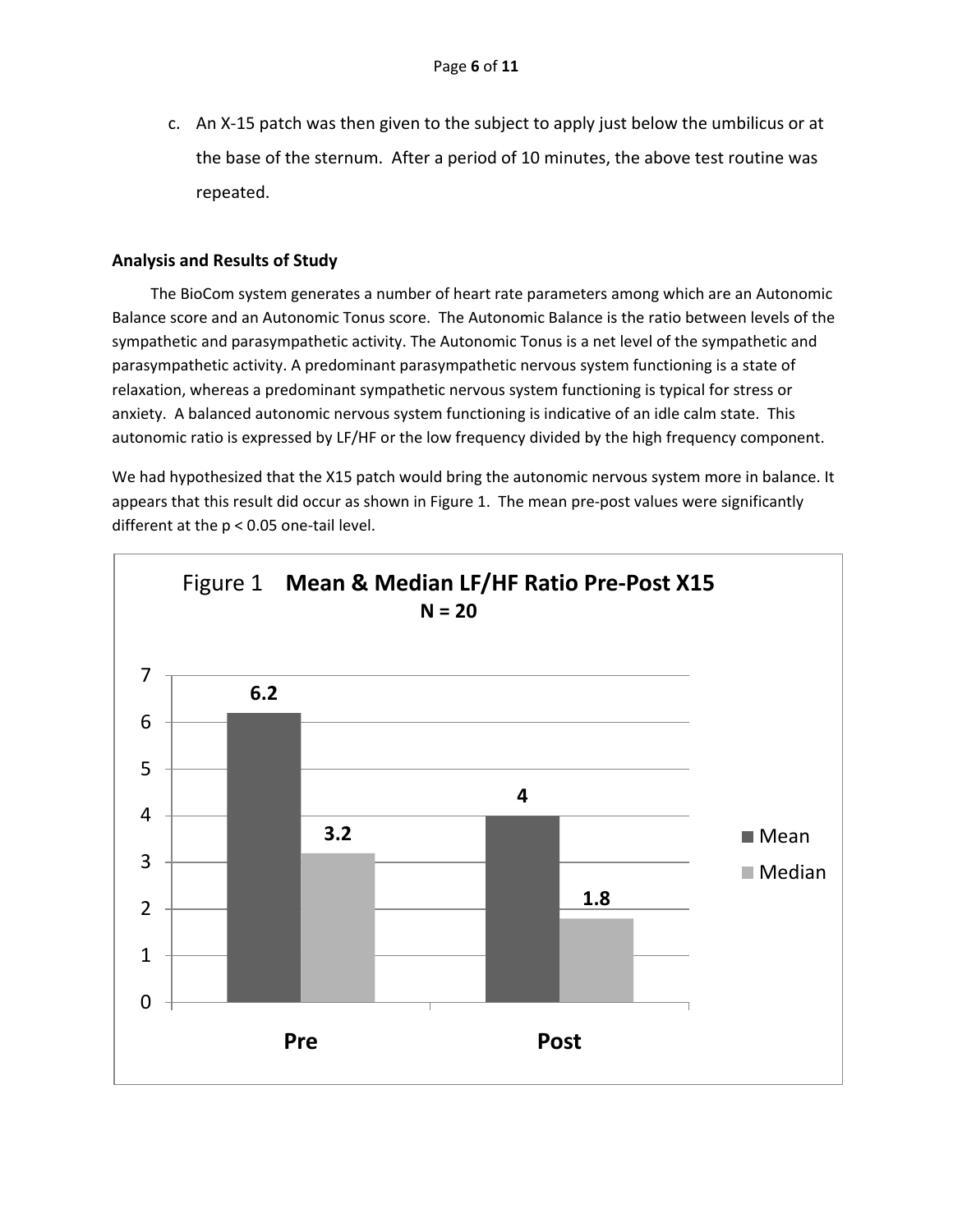c. An X-15 patch was then given to the subject to apply just below the umbilicus or at the base of the sternum. After a period of 10 minutes, the above test routine was repeated.

# **Analysis and Results of Study**

 The BioCom system generates a number of heart rate parameters among which are an Autonomic Balance score and an Autonomic Tonus score. The Autonomic Balance is the ratio between levels of the sympathetic and parasympathetic activity. The Autonomic Tonus is a net level of the sympathetic and parasympathetic activity. A predominant parasympathetic nervous system functioning is a state of relaxation, whereas a predominant sympathetic nervous system functioning is typical for stress or anxiety. A balanced autonomic nervous system functioning is indicative of an idle calm state. This autonomic ratio is expressed by LF/HF or the low frequency divided by the high frequency component.

We had hypothesized that the X15 patch would bring the autonomic nervous system more in balance. It appears that this result did occur as shown in Figure 1. The mean pre-post values were significantly different at the p < 0.05 one-tail level.

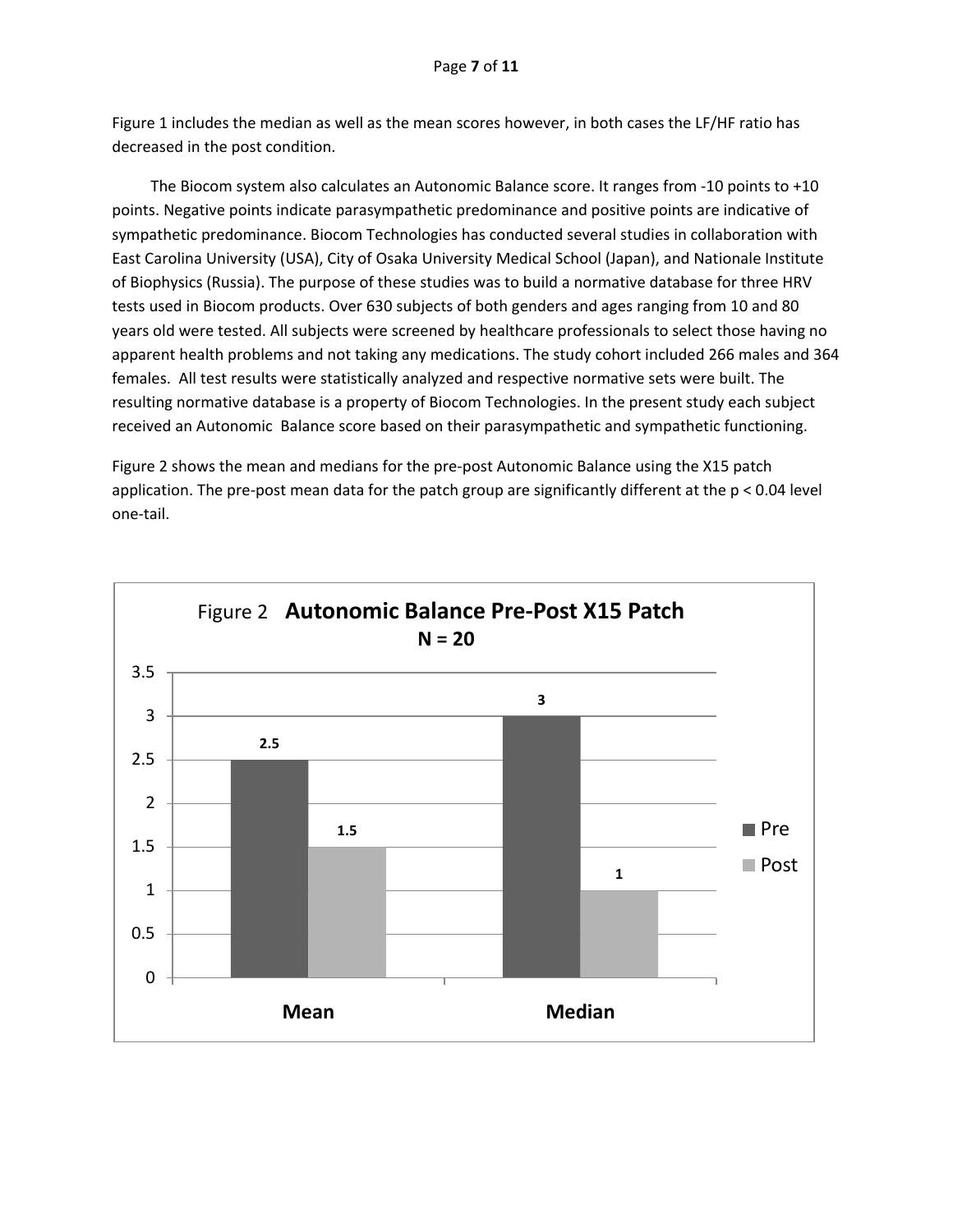Figure 1 includes the median as well as the mean scores however, in both cases the LF/HF ratio has decreased in the post condition.

 The Biocom system also calculates an Autonomic Balance score. It ranges from -10 points to +10 points. Negative points indicate parasympathetic predominance and positive points are indicative of sympathetic predominance. Biocom Technologies has conducted several studies in collaboration with East Carolina University (USA), City of Osaka University Medical School (Japan), and Nationale Institute of Biophysics (Russia). The purpose of these studies was to build a normative database for three HRV tests used in Biocom products. Over 630 subjects of both genders and ages ranging from 10 and 80 years old were tested. All subjects were screened by healthcare professionals to select those having no apparent health problems and not taking any medications. The study cohort included 266 males and 364 females. All test results were statistically analyzed and respective normative sets were built. The resulting normative database is a property of Biocom Technologies. In the present study each subject received an Autonomic Balance score based on their parasympathetic and sympathetic functioning.

Figure 2 shows the mean and medians for the pre-post Autonomic Balance using the X15 patch application. The pre-post mean data for the patch group are significantly different at the p < 0.04 level one-tail.

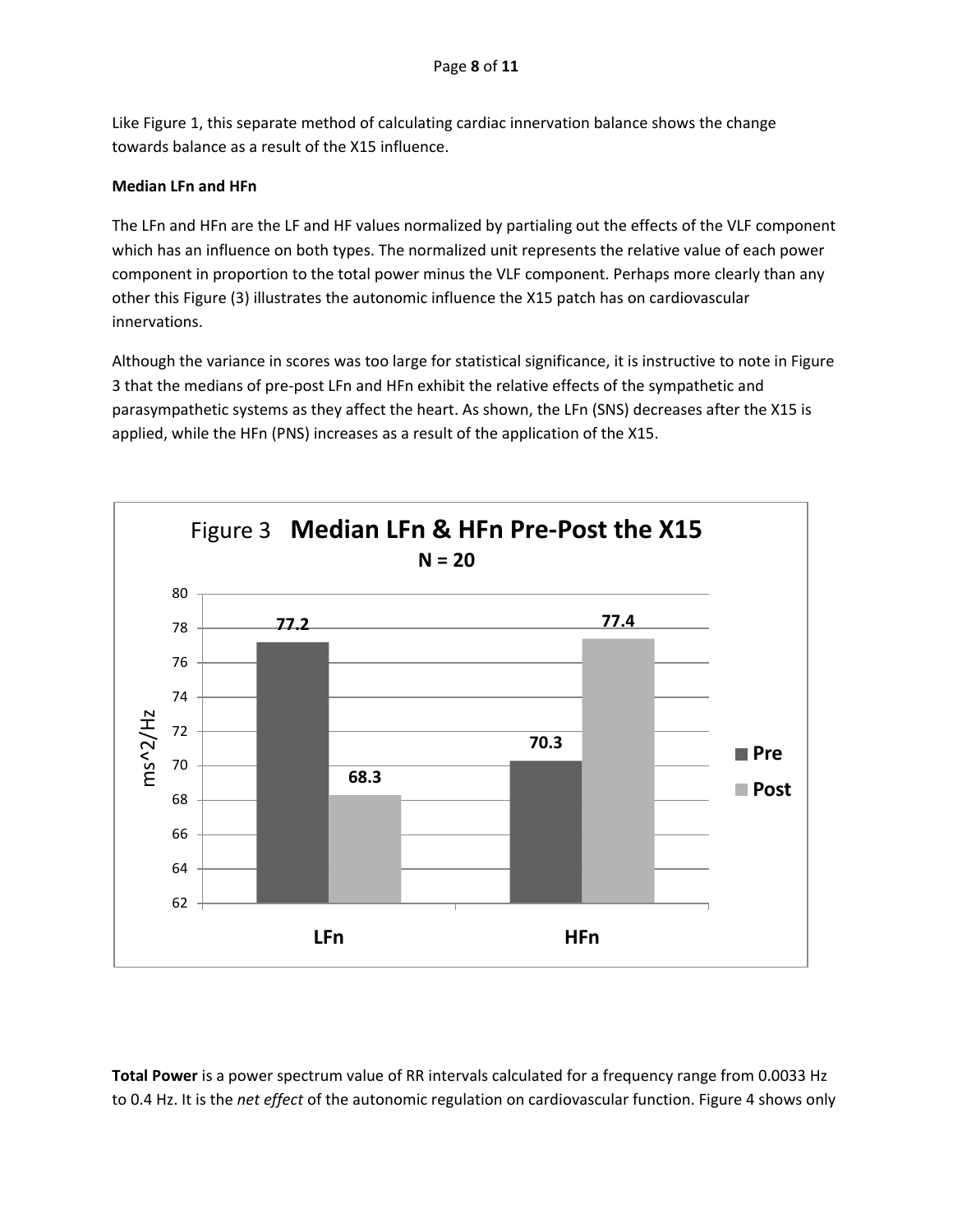Like Figure 1, this separate method of calculating cardiac innervation balance shows the change towards balance as a result of the X15 influence.

## **Median LFn and HFn**

The LFn and HFn are the LF and HF values normalized by partialing out the effects of the VLF component which has an influence on both types. The normalized unit represents the relative value of each power component in proportion to the total power minus the VLF component. Perhaps more clearly than any other this Figure (3) illustrates the autonomic influence the X15 patch has on cardiovascular innervations.

Although the variance in scores was too large for statistical significance, it is instructive to note in Figure 3 that the medians of pre-post LFn and HFn exhibit the relative effects of the sympathetic and parasympathetic systems as they affect the heart. As shown, the LFn (SNS) decreases after the X15 is applied, while the HFn (PNS) increases as a result of the application of the X15.



**Total Power** is a power spectrum value of RR intervals calculated for a frequency range from 0.0033 Hz to 0.4 Hz. It is the *net effect* of the autonomic regulation on cardiovascular function. Figure 4 shows only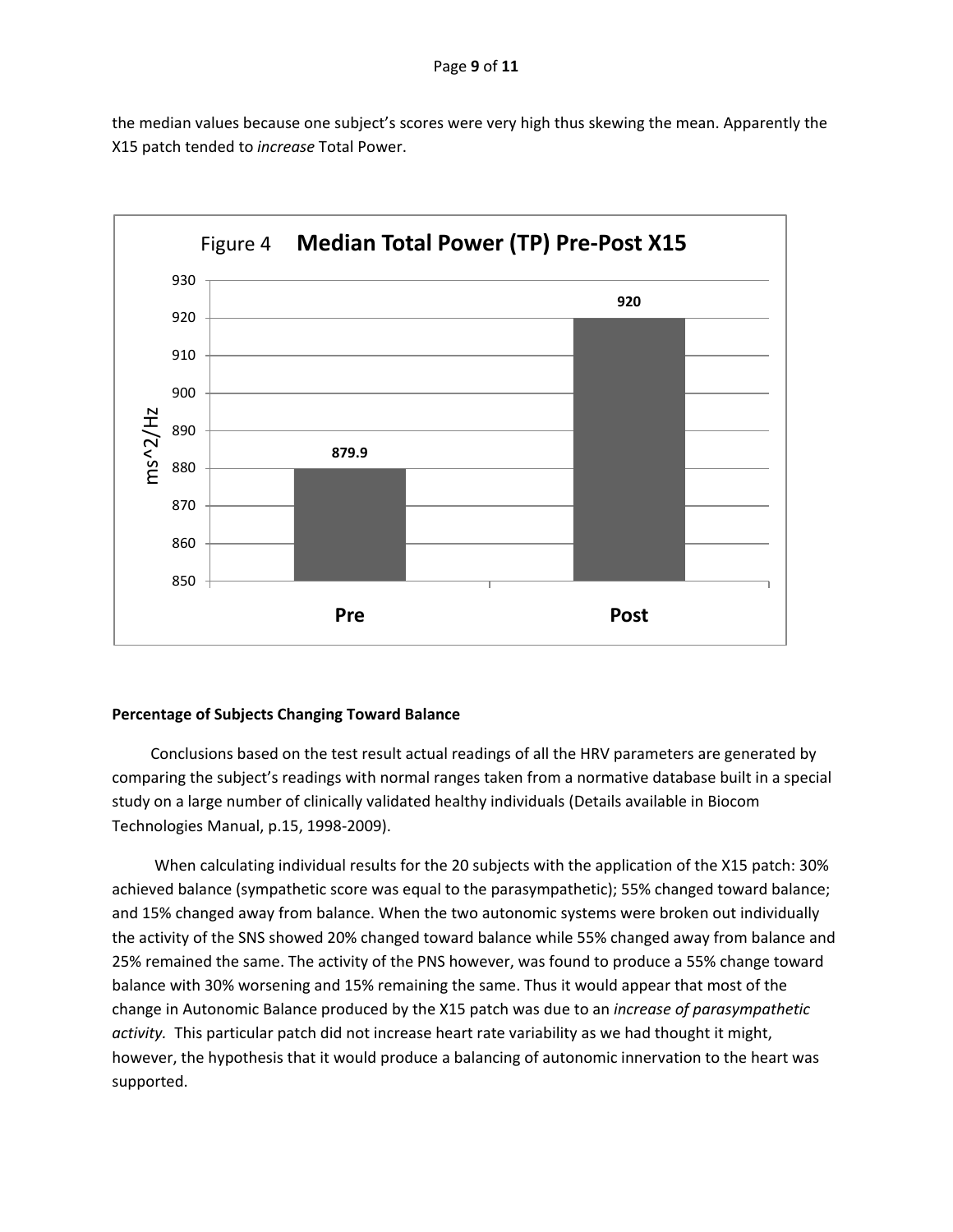the median values because one subject's scores were very high thus skewing the mean. Apparently the X15 patch tended to *increase* Total Power.



## **Percentage of Subjects Changing Toward Balance**

 Conclusions based on the test result actual readings of all the HRV parameters are generated by comparing the subject's readings with normal ranges taken from a normative database built in a special study on a large number of clinically validated healthy individuals (Details available in Biocom Technologies Manual, p.15, 1998-2009).

 When calculating individual results for the 20 subjects with the application of the X15 patch: 30% achieved balance (sympathetic score was equal to the parasympathetic); 55% changed toward balance; and 15% changed away from balance. When the two autonomic systems were broken out individually the activity of the SNS showed 20% changed toward balance while 55% changed away from balance and 25% remained the same. The activity of the PNS however, was found to produce a 55% change toward balance with 30% worsening and 15% remaining the same. Thus it would appear that most of the change in Autonomic Balance produced by the X15 patch was due to an *increase of parasympathetic activity.* This particular patch did not increase heart rate variability as we had thought it might, however, the hypothesis that it would produce a balancing of autonomic innervation to the heart was supported.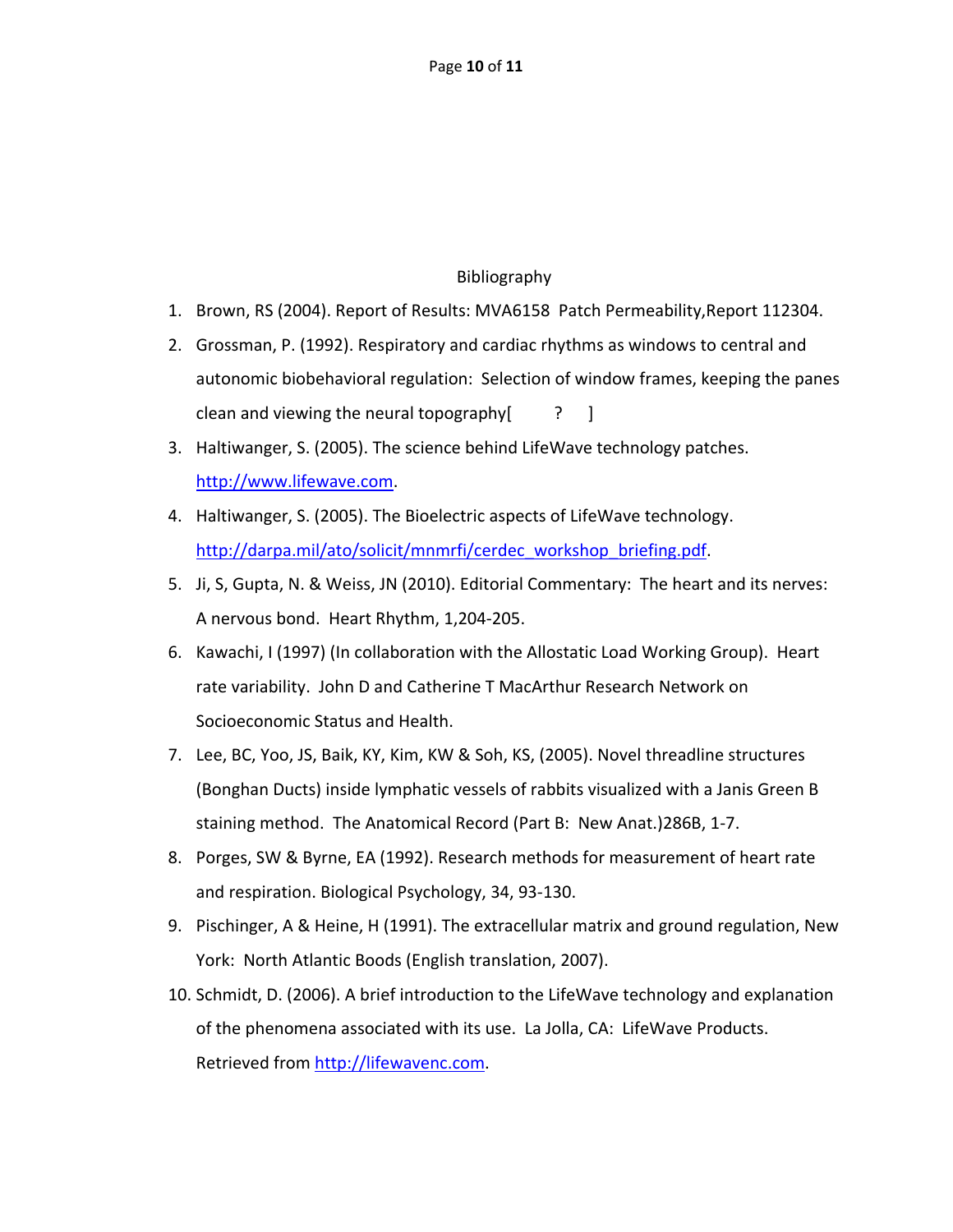# Bibliography

- 1. Brown, RS (2004). Report of Results: MVA6158 Patch Permeability,Report 112304.
- 2. Grossman, P. (1992). Respiratory and cardiac rhythms as windows to central and autonomic biobehavioral regulation: Selection of window frames, keeping the panes clean and viewing the neural topography  $\begin{bmatrix} 2 \\ 1 \end{bmatrix}$
- 3. Haltiwanger, S. (2005). The science behind LifeWave technology patches. [http://www.lifewave.com.](http://www.lifewave.com/)
- 4. Haltiwanger, S. (2005). The Bioelectric aspects of LifeWave technology. [http://darpa.mil/ato/solicit/mnmrfi/cerdec\\_workshop\\_briefing.pdf.](http://darpa.mil/ato/solicit/mnmrfi/cerdec_workshop_briefing.pdf)
- 5. Ji, S, Gupta, N. & Weiss, JN (2010). Editorial Commentary: The heart and its nerves: A nervous bond. Heart Rhythm, 1,204-205.
- 6. Kawachi, I (1997) (In collaboration with the Allostatic Load Working Group). Heart rate variability. John D and Catherine T MacArthur Research Network on Socioeconomic Status and Health.
- 7. Lee, BC, Yoo, JS, Baik, KY, Kim, KW & Soh, KS, (2005). Novel threadline structures (Bonghan Ducts) inside lymphatic vessels of rabbits visualized with a Janis Green B staining method. The Anatomical Record (Part B: New Anat.)286B, 1-7.
- 8. Porges, SW & Byrne, EA (1992). Research methods for measurement of heart rate and respiration. Biological Psychology, 34, 93-130.
- 9. Pischinger, A & Heine, H (1991). The extracellular matrix and ground regulation, New York: North Atlantic Boods (English translation, 2007).
- 10. Schmidt, D. (2006). A brief introduction to the LifeWave technology and explanation of the phenomena associated with its use. La Jolla, CA: LifeWave Products. Retrieved from [http://lifewavenc.com.](http://lifewavenc.com/)